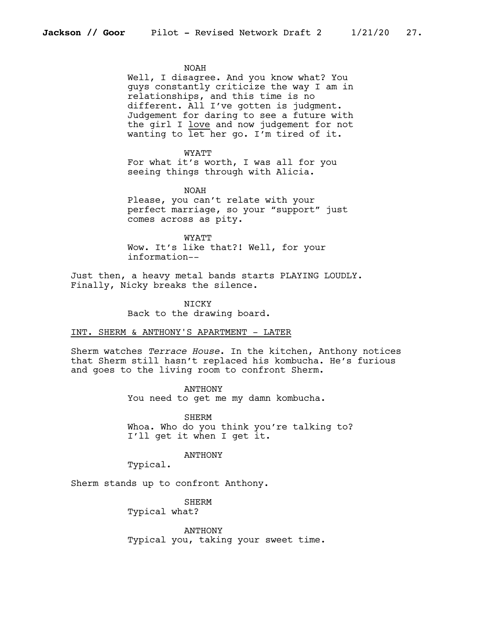#### NOAH

Well, I disagree. And you know what? You guys constantly criticize the way I am in relationships, and this time is no different. All I've gotten is judgment. Judgement for daring to see a future with the girl I love and now judgement for not wanting to let her go. I'm tired of it.

#### **WYATT**

For what it's worth, I was all for you seeing things through with Alicia.

NOAH Please, you can't relate with your perfect marriage, so your "support" just comes across as pity.

WYATT Wow. It's like that?! Well, for your information--

Just then, a heavy metal bands starts PLAYING LOUDLY. Finally, Nicky breaks the silence.

> NICKY Back to the drawing board.

#### INT. SHERM & ANTHONY'S APARTMENT - LATER

Sherm watches *Terrace House*. In the kitchen, Anthony notices that Sherm still hasn't replaced his kombucha. He's furious and goes to the living room to confront Sherm.

> ANTHONY You need to get me my damn kombucha.

**SHERM** Whoa. Who do you think you're talking to? I'll get it when I get it.

# ANTHONY

Typical.

Sherm stands up to confront Anthony.

SHERM

Typical what?

ANTHONY Typical you, taking your sweet time.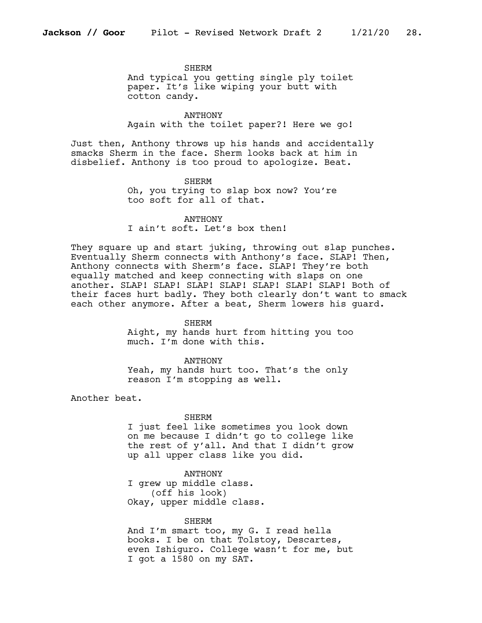#### SHERM

And typical you getting single ply toilet paper. It's like wiping your butt with cotton candy.

ANTHONY Again with the toilet paper?! Here we go!

Just then, Anthony throws up his hands and accidentally smacks Sherm in the face. Sherm looks back at him in disbelief. Anthony is too proud to apologize. Beat.

## SHERM

Oh, you trying to slap box now? You're too soft for all of that.

ANTHONY I ain't soft. Let's box then!

They square up and start juking, throwing out slap punches. Eventually Sherm connects with Anthony's face. SLAP! Then, Anthony connects with Sherm's face. SLAP! They're both equally matched and keep connecting with slaps on one another. SLAP! SLAP! SLAP! SLAP! SLAP! SLAP! SLAP! Both of their faces hurt badly. They both clearly don't want to smack each other anymore. After a beat, Sherm lowers his guard.

## SHERM

Aight, my hands hurt from hitting you too much. I'm done with this.

## ANTHONY

Yeah, my hands hurt too. That's the only reason I'm stopping as well.

Another beat.

## SHERM

I just feel like sometimes you look down on me because I didn't go to college like the rest of y'all. And that I didn't grow up all upper class like you did.

ANTHONY

I grew up middle class. (off his look) Okay, upper middle class.

## **SHERM**

And I'm smart too, my G. I read hella books. I be on that Tolstoy, Descartes, even Ishiguro. College wasn't for me, but I got a 1580 on my SAT.